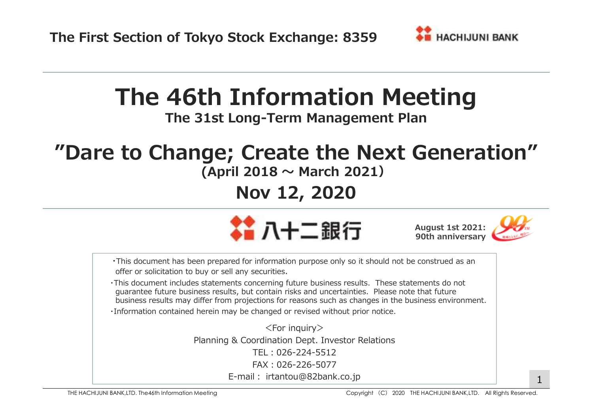

# **The 46th Information Meeting**

**The 31st Long-Term Management Plan**

# **"Dare to Change; Create the Next Generation"**

## **(April 2018 〜 March 2021)**

## **Nov 12, 2020**







・This document has been prepared for information purpose only so it should not be construed as anoffer or solicitation to buy or sell any securities.

・This document includes statements concerning future business results. These statements do not guarantee future business results, but contain risks and uncertainties. Please note that futurebusiness results may differ from projections for reasons such as changes in the business environment.

・Information contained herein may be changed or revised without prior notice.

 $<$ For inquiry $>$  Planning & Coordination Dept. Investor RelationsTEL:026-224-5512 FAX:026-226-5077E-mail: irtantou@82bank.co.jp 1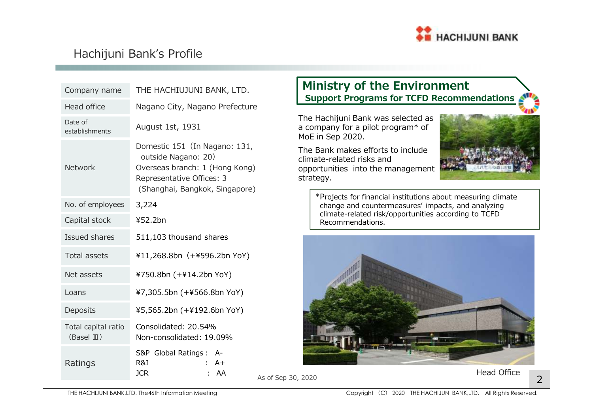

## Hachijuni Bank's Profile

| Company name                                | THE HACHIUJUNI BANK, LTD.                                                                                                                             | <b>Ministry of the Environment</b><br><b>Support Programs for TCFD Recommendations</b>                             |                    |
|---------------------------------------------|-------------------------------------------------------------------------------------------------------------------------------------------------------|--------------------------------------------------------------------------------------------------------------------|--------------------|
| Head office                                 | Nagano City, Nagano Prefecture                                                                                                                        |                                                                                                                    |                    |
| Date of<br>establishments                   | August 1st, 1931                                                                                                                                      | The Hachijuni Bank was selected as<br>a company for a pilot program* of<br>MoE in Sep 2020.                        |                    |
| <b>Network</b>                              | Domestic 151 (In Nagano: 131,<br>outside Nagano: 20)<br>Overseas branch: 1 (Hong Kong)<br>Representative Offices: 3<br>(Shanghai, Bangkok, Singapore) | The Bank makes efforts to include<br>climate-related risks and<br>opportunities into the management<br>strategy.   |                    |
| No. of employees                            | 3,224                                                                                                                                                 | *Projects for financial institutions about measuring climate<br>change and countermeasures' impacts, and analyzing |                    |
| Capital stock                               | ¥52.2bn                                                                                                                                               | climate-related risk/opportunities according to TCFD<br>Recommendations.                                           |                    |
| Issued shares                               | 511,103 thousand shares                                                                                                                               |                                                                                                                    |                    |
| <b>Total assets</b>                         | ¥11,268.8bn (+¥596.2bn YoY)                                                                                                                           |                                                                                                                    |                    |
| Net assets                                  | ¥750.8bn (+¥14.2bn YoY)                                                                                                                               |                                                                                                                    |                    |
| Loans                                       | ¥7,305.5bn (+¥566.8bn YoY)                                                                                                                            |                                                                                                                    |                    |
| Deposits                                    | ¥5,565.2bn (+¥192.6bn YoY)                                                                                                                            |                                                                                                                    |                    |
| Total capital ratio<br>$(BaseI \mathbb{I})$ | Consolidated: 20.54%<br>Non-consolidated: 19.09%                                                                                                      |                                                                                                                    |                    |
| Ratings                                     | S&P Global Ratings : A-<br>R&I<br>$: A +$<br><b>JCR</b><br>AA                                                                                         | As of Sep 30, 2020                                                                                                 | <b>Head Office</b> |

### **Ministry of the EnvironmentSupport Programs for TCFD Recommendations**



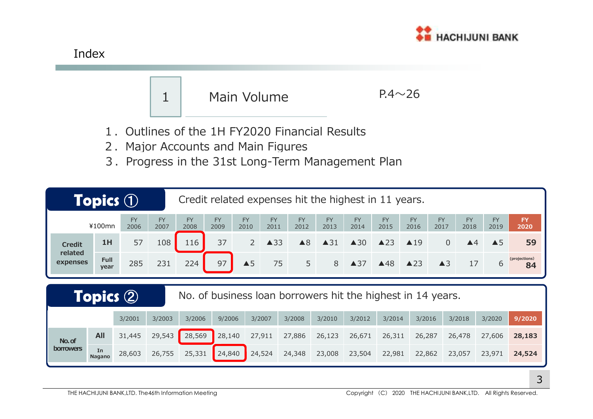



- 1.Outlines of the 1H FY2020 Financial Results
- 2. Major Accounts and Main Figures
- 3.Progress in the 31st Long-Term Management Plan

| <b>Topics 1</b><br>Credit related expenses hit the highest in 11 years. |                                                                                     |                   |                   |                   |                   |                   |                   |                   |                   |                   |                   |                   |                   |                    |                   |                     |
|-------------------------------------------------------------------------|-------------------------------------------------------------------------------------|-------------------|-------------------|-------------------|-------------------|-------------------|-------------------|-------------------|-------------------|-------------------|-------------------|-------------------|-------------------|--------------------|-------------------|---------------------|
|                                                                         | ¥100mn                                                                              | <b>FY</b><br>2006 | <b>FY</b><br>2007 | <b>FY</b><br>2008 | <b>FY</b><br>2009 | <b>FY</b><br>2010 | <b>FY</b><br>2011 | <b>FY</b><br>2012 | <b>FY</b><br>2013 | <b>FY</b><br>2014 | <b>FY</b><br>2015 | <b>FY</b><br>2016 | <b>FY</b><br>2017 | <b>FY</b><br>2018  | <b>FY</b><br>2019 | <b>FY</b><br>2020   |
| <b>Credit</b>                                                           | 1H                                                                                  | 57                | 108               | 116               | 37                | $\overline{2}$    | $\triangle$ 33    | $\triangle 8$     | $\triangle$ 31    | $\triangle 30$    | $\triangle$ 23    | $\triangle$ 19    | $\overline{0}$    | $\blacktriangle 4$ | $\triangle$ 5     | 59                  |
| related<br>expenses                                                     | <b>Full</b><br>year                                                                 | 285               | 231               | 224               | 97                | $\triangle$ 5     | 75                | 5                 | 8                 | ▲37               | ▲48               | $\triangle$ 23    | $\triangle$ 3     | 17                 | 6                 | (projections)<br>84 |
|                                                                         | Topics $\circled{2}$<br>No. of business loan borrowers hit the highest in 14 years. |                   |                   |                   |                   |                   |                   |                   |                   |                   |                   |                   |                   |                    |                   |                     |
|                                                                         |                                                                                     | 3/2001            | 3/2003            | 3/2006            | 9/2006            | 3/2007            |                   | 3/2008            | 3/2010            | 3/2012            | 3/2014            | 3/2016            |                   | 3/2018             | 3/2020            | 9/2020              |
| No. of                                                                  | All                                                                                 | 31,445            | 29,543            | 28,569            | 28,140            | 27,911            |                   | 27,886            | 26,123            | 26,671            | 26,311            | 26,287            |                   | 26,478             | 27,606            | 28,183              |
| <b>borrowers</b>                                                        | In<br><b>Nagano</b>                                                                 | 28,603            | 26,755            | 25,331            | 24,840            | 24,524            |                   | 24,348            | 23,008            | 23,504            | 22,981            | 22,862            |                   | 23,057             | 23,971            | 24,524              |

Index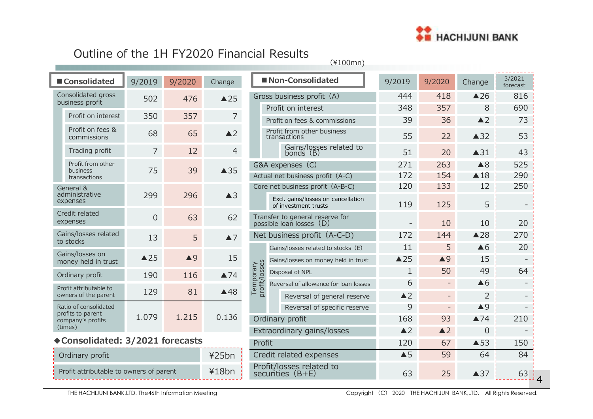

## Outline of the 1H FY2020 Financial Results

(¥100mn)

|                              |                                            | ■ Consolidated                        | 9/2019         | 9/2020             | Change             |                              | Non-Consolidated           |                                                         |  |  |
|------------------------------|--------------------------------------------|---------------------------------------|----------------|--------------------|--------------------|------------------------------|----------------------------|---------------------------------------------------------|--|--|
|                              |                                            | Consolidated gross<br>business profit | 502            | 476                | $\triangle$ 25     |                              |                            | Gross business profit (A)                               |  |  |
|                              |                                            | Profit on interest                    | 350            | 357                | 7                  |                              |                            | Profit on interest                                      |  |  |
|                              |                                            | Profit on fees &                      |                |                    |                    |                              |                            | Profit on fees & commis                                 |  |  |
|                              |                                            | commissions                           | 68             | 65                 | $\triangle$ 2      |                              |                            | Profit from other busine<br>transactions                |  |  |
|                              |                                            | Trading profit                        | 7              | 12                 | $\overline{4}$     |                              |                            | Gains/losses rel<br>bonds (B)                           |  |  |
|                              |                                            | Profit from other<br>business         | 75             | 39                 | $\triangle$ 35     |                              |                            | G&A expenses (C)                                        |  |  |
|                              |                                            | transactions                          |                |                    |                    | Actual net business profit ( |                            |                                                         |  |  |
|                              |                                            | General &                             |                | 296                | $\triangle$ 3      |                              |                            | Core net business profit (A                             |  |  |
| administrative<br>expenses   |                                            |                                       | 299            |                    |                    |                              |                            | Excl. gains/losses on ca<br>of investment trusts        |  |  |
|                              | Credit related<br>expenses                 |                                       | $\overline{0}$ | 63                 | 62                 |                              |                            | Transfer to general reserve<br>possible loan losses (D) |  |  |
|                              |                                            | Gains/losses related<br>to stocks     | 13             | 5                  | $\blacktriangle$ 7 |                              |                            | Net business profit (A-                                 |  |  |
|                              |                                            | Gains/losses on                       |                |                    |                    |                              | Gains/losses related to st |                                                         |  |  |
|                              |                                            | money held in trust                   | $\triangle$ 25 | $\blacktriangle$ 9 | 15                 |                              |                            | Gains/losses on money h                                 |  |  |
|                              |                                            | Ordinary profit                       | 190            | 116                | $\triangle 74$     | profit/losses<br>Temporary   |                            | Disposal of NPL                                         |  |  |
|                              |                                            | Profit attributable to                | 129            | 81                 | $\triangle$ 48     |                              |                            | Reversal of allowance for                               |  |  |
|                              |                                            | owners of the parent                  |                |                    |                    |                              |                            | Reversal of gener                                       |  |  |
|                              | Ratio of consolidated<br>profits to parent |                                       |                |                    |                    |                              |                            | Reversal of speci                                       |  |  |
| company's profits<br>(times) |                                            |                                       | 1.079          | 1.215              | 0.136              | Ordinary profit              |                            |                                                         |  |  |
|                              |                                            |                                       |                |                    |                    |                              |                            | Extraordinary gains/los                                 |  |  |
|                              |                                            | ◆Consolidated: 3/2021 forecasts       |                |                    |                    |                              | Profit                     |                                                         |  |  |
|                              |                                            | Ordinary profit                       |                |                    | ¥25bn              |                              |                            | Credit related expenses                                 |  |  |

|                            | Non-Consolidated                                            | 9/2019         | 9/2020        | Change             | 3/2021<br>forecast |
|----------------------------|-------------------------------------------------------------|----------------|---------------|--------------------|--------------------|
|                            | Gross business profit (A)                                   | 444            | 418           | $\triangle$ 26     | 816                |
|                            | Profit on interest                                          | 348            | 357           | 8                  | 690                |
|                            | Profit on fees & commissions                                | 39             | 36            | $\triangle$ 2      | 73                 |
|                            | Profit from other business<br>transactions                  | 55             | 22            | $\triangle$ 32     | 53                 |
|                            | Gains/losses related to<br>bonds (B)                        | 51             | 20            | $\triangle$ 31     | 43                 |
|                            | G&A expenses (C)                                            | 271            | 263           | $\triangle$ 8      | 525                |
|                            | Actual net business profit (A-C)                            | 172            | 154           | $\triangle$ 18     | 290                |
|                            | Core net business profit (A-B-C)                            | 120            | 133           | 12                 | 250                |
|                            | Excl. gains/losses on cancellation<br>of investment trusts  | 119            | 125           | 5                  |                    |
|                            | Transfer to general reserve for<br>possible loan losses (D) |                | 10            | 10                 | 20                 |
|                            | Net business profit (A-C-D)                                 | 172            | 144           | $\triangle$ 28     | 270                |
|                            | Gains/losses related to stocks (E)                          | 11             | 5             | $\triangle 6$      | 20                 |
|                            | Gains/losses on money held in trust                         | $\triangle$ 25 | $\triangle$ 9 | 15                 |                    |
|                            | Disposal of NPL                                             | 1              | 50            | 49                 | 64                 |
| lemporary<br>profit/losses | Reversal of allowance for loan losses                       | 6              |               | $\triangle 6$      |                    |
|                            | Reversal of general reserve                                 | $\triangle$ 2  |               | 2                  |                    |
|                            | Reversal of specific reserve                                | 9              |               | $\blacktriangle$ 9 |                    |
|                            | Ordinary profit                                             | 168            | 93            | $\triangle 74$     | 210                |
|                            | Extraordinary gains/losses                                  | $\triangle$ 2  | $\triangle$ 2 | 0                  |                    |
| Profit                     |                                                             | 120            | 67            | $\triangle$ 53     | 150                |
|                            | Credit related expenses                                     | $\triangle$ 5  | 59            | 64                 | 84                 |
|                            | Profit/losses related to<br>securities (B+E)                | 63             | 25            | $\triangle$ 37     | 63                 |

Ordinary profit

| Profit attributable to owners of parent | ¥18bn |
|-----------------------------------------|-------|
|                                         |       |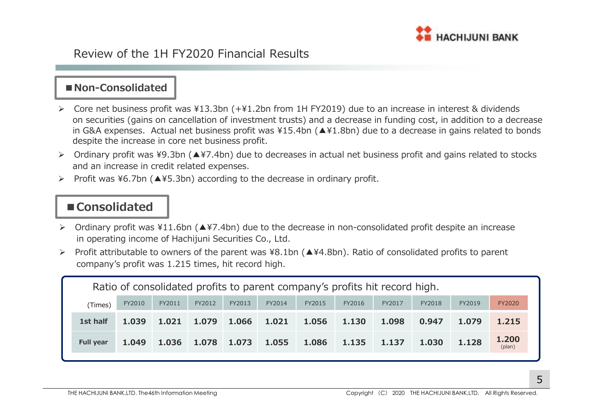

## Review of the 1H FY2020 Financial Results

### **■Non-Consolidated**

- ► Core net business profit was ¥13.3bn (+¥1.2bn from 1H FY2019) due to an increase in interest & dividends on securities (gains on cancellation of investment trusts) and a decrease in funding cost, in addition to a decrease in G&A expenses. Actual net business profit was ¥15.4bn (▲¥1.8bn) due to a decrease in gains related to bonds<br>despite the increase in core net business profit despite the increase in core net business profit.
- Ordinary profit was ¥9.3bn (▲¥7.4bn) due to decreases in actual net business profit and gains related to stocks and an increase in credit related expenses.
- $\blacktriangleright$ Profit was ¥6.7bn (▲¥5.3bn) according to the decrease in ordinary profit.

## **■Consolidated**

- Ordinary profit was ¥11.6bn (▲¥7.4bn) due to the decrease in non-consolidated profit despite an increase in operating income of Hachijuni Securities Co., Ltd.
- $\blacktriangleright$  Profit attributable to owners of the parent was ¥8.1bn (▲¥4.8bn). Ratio of consolidated profits to parent company's profit was 1.215 times, hit record high.

| Ratio of consolidated profits to parent company's profits hit record high. |        |        |                     |        |        |        |        |        |        |        |                 |
|----------------------------------------------------------------------------|--------|--------|---------------------|--------|--------|--------|--------|--------|--------|--------|-----------------|
| (Times)                                                                    | FY2010 | FY2011 | FY2012              | FY2013 | FY2014 | FY2015 | FY2016 | FY2017 | FY2018 | FY2019 | <b>FY2020</b>   |
| 1st half                                                                   | 1.039  | 1.021  | $1.079$ 1.066 1.021 |        |        | 1.056  | 1.130  | 1.098  | 0.947  | 1.079  | 1.215           |
| <b>Full year</b>                                                           | 1.049  | 1.036  | 1.078 1.073         |        | 1.055  | 1.086  | 1.135  | 1.137  | 1.030  | 1.128  | 1.200<br>(plan) |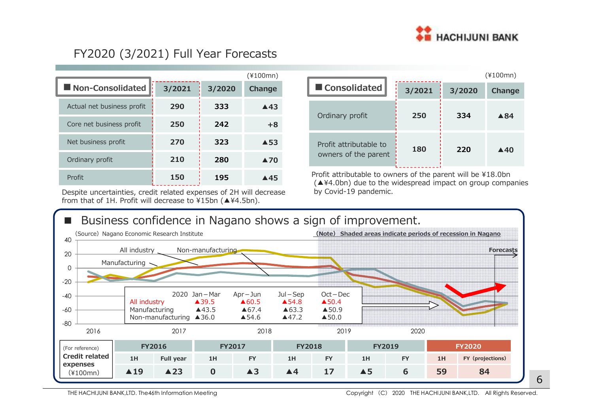

## FY2020 (3/2021) Full Year Forecasts

|                            |        |        | (¥100mn)            |                                              |
|----------------------------|--------|--------|---------------------|----------------------------------------------|
| Non-Consolidated           | 3/2021 | 3/2020 | Change              | Consolidated                                 |
| Actual net business profit | 290    | 333    | $\triangle$ 43      |                                              |
| Core net business profit   | 250    | 242    | $+8$                | Ordinary profit                              |
| Net business profit        | 270    | 323    | $\triangle$ 53      | Profit attributable t                        |
| Ordinary profit            | 210    | 280    | $\blacktriangle$ 70 | owners of the pare                           |
| Profit                     | 150    | 195    | $\triangle$ 45      | Profit attributable to<br>(▲¥4.0bn) due to t |

Despite uncertainties, credit related expenses of 2H will decrease by Covid-19 pandemic. from that of 1H. Profit will decrease to ¥15bn (▲¥4.5bn).

|   |                        |        |     | $(*100mn)$     |  |  |
|---|------------------------|--------|-----|----------------|--|--|
|   | ■ Consolidated         | 3/2021 |     |                |  |  |
|   | Ordinary profit        | 250    | 334 | ▲84            |  |  |
|   |                        |        |     |                |  |  |
| 3 | Profit attributable to | 180    | 220 | $\triangle$ 40 |  |  |
|   | owners of the parent   |        |     |                |  |  |

Profit attributable to owners of the parent will be ¥18.0bn(▲¥4.0bn) due to the widespread impact on group companies

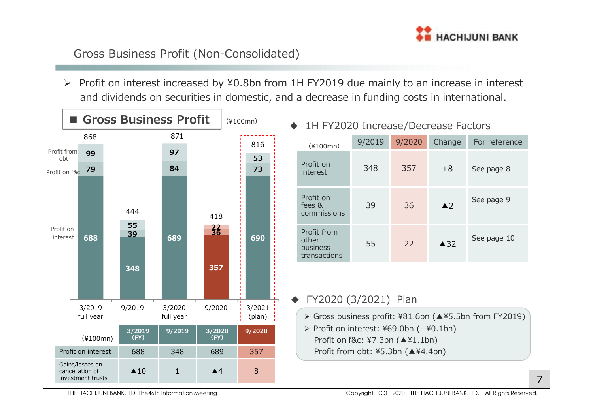

## Gross Business Profit (Non-Consolidated)

 Profit on interest increased by ¥0.8bn from 1H FY2019 due mainly to an increase in interest and dividends on securities in domestic, and a decrease in funding costs in international.

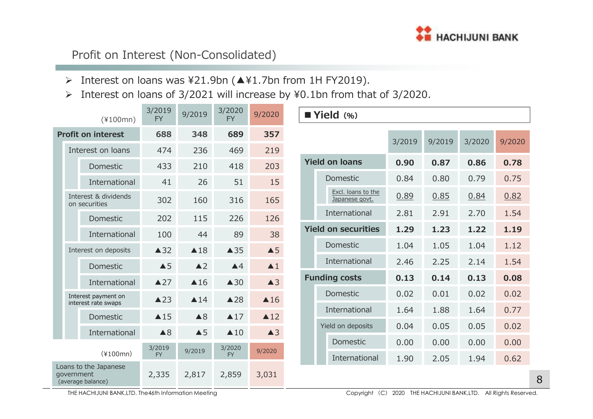

## Profit on Interest (Non-Consolidated)

- Interest on loans was ¥21.9bn (▲¥1.7bn from 1H FY2019).
- $\blacktriangleright$ Interest on loans of 3/2021 will increase by ¥0.1bn from that of 3/2020.

|                           |            | $(*100mn)$                                 | 3/2019<br><b>FY</b> | 9/2019         | 3/2020<br><b>FY</b>             | 9/2020             | Yield (%) |                      |                                      |        |        |        |        |
|---------------------------|------------|--------------------------------------------|---------------------|----------------|---------------------------------|--------------------|-----------|----------------------|--------------------------------------|--------|--------|--------|--------|
| <b>Profit on interest</b> |            |                                            | 688                 | 348            | 689                             | 357                |           |                      |                                      | 3/2019 | 9/2019 | 3/2020 | 9/2020 |
|                           |            | Interest on loans                          | 474                 | 236            | 469                             | 219                |           |                      |                                      |        |        |        |        |
|                           |            | Domestic                                   | 433                 | 210            | 418                             | 203                |           |                      | <b>Yield on loans</b>                | 0.90   | 0.87   | 0.86   | 0.78   |
|                           |            | International                              | 41                  | 26             | 51                              | 15                 |           |                      | Domestic                             | 0.84   | 0.80   | 0.79   | 0.75   |
|                           |            | Interest & dividends<br>on securities      | 302                 | 160            | 316                             | 165                |           |                      | Excl. loans to the<br>Japanese govt. | 0.89   | 0.85   | 0.84   | 0.82   |
|                           |            | Domestic                                   | 202                 | 115            | 226                             | 126                |           |                      | International                        | 2.81   | 2.91   | 2.70   | 1.54   |
|                           |            | International                              | 100                 | 44             | 89                              | 38                 |           |                      | <b>Yield on securities</b>           | 1.29   | 1.23   | 1.22   | 1.19   |
|                           |            | Interest on deposits                       | $\triangle$ 32      | $\triangle$ 18 | $\triangle$ 35<br>$\triangle$ 5 |                    |           | Domestic             | 1.04                                 | 1.05   | 1.04   | 1.12   |        |
|                           |            | Domestic                                   | $\triangle$ 5       | $\triangle$ 2  | $\triangle 4$                   | $\blacktriangle$ 1 |           |                      | International                        | 2.46   | 2.25   | 2.14   | 1.54   |
|                           |            | International                              | $\triangle 27$      | $\triangle$ 16 | $\triangle$ 30                  | $\triangle$ 3      |           | <b>Funding costs</b> |                                      | 0.13   | 0.14   | 0.13   | 0.08   |
|                           |            | Interest payment on                        | $\triangle$ 23      | $\triangle$ 14 | $\triangle$ 28                  | $\triangle$ 16     |           |                      | Domestic                             | 0.02   | 0.01   | 0.02   | 0.02   |
|                           |            | interest rate swaps<br>Domestic            | $\triangle$ 15      | $\triangle 8$  | $\triangle 17$                  | $\triangle 12$     |           |                      | International                        | 1.64   | 1.88   | 1.64   | 0.77   |
|                           |            | International                              | $\triangle 8$       | $\triangle$ 5  | $\triangle$ 10                  | $\triangle$ 3      |           |                      | Yield on deposits                    | 0.04   | 0.05   | 0.05   | 0.02   |
|                           |            |                                            |                     | 3/2020         |                                 |                    |           | Domestic             | 0.00                                 | 0.00   | 0.00   | 0.00   |        |
|                           |            | $(*100mn)$                                 | 3/2019<br><b>FY</b> | 9/2019         | <b>FY</b>                       | 9/2020             |           |                      | International                        | 1.90   | 2.05   | 1.94   | 0.62   |
|                           | government | Loans to the Japanese<br>(average balance) | 2,335               | 2,817          | 2,859                           | 3,031              |           |                      |                                      |        |        |        |        |

THE HACHIJUNI BANK,LTD. The46th Information Meeting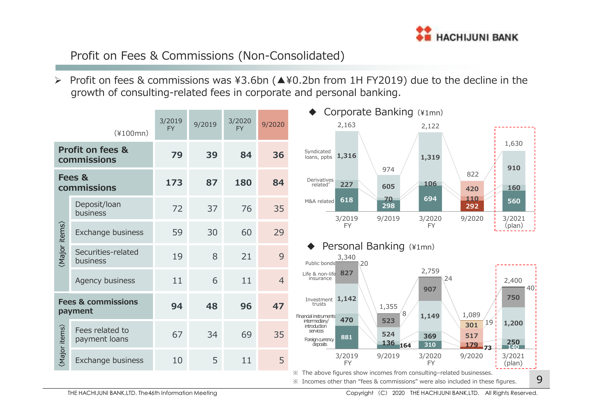

## Profit on Fees & Commissions (Non-Consolidated)

> Profit on fees & commissions was ¥3.6bn  $($  ▲¥0.2bn from 1H FY2019) due to the decline in the growth of consulting-related fees in corporate and personal banking.

|               |                                            |                     |        |                     |                | Corporate Banking (¥1mn)                                                                                                                                                                     |
|---------------|--------------------------------------------|---------------------|--------|---------------------|----------------|----------------------------------------------------------------------------------------------------------------------------------------------------------------------------------------------|
|               | $(*100mn)$                                 | 3/2019<br><b>FY</b> | 9/2019 | 3/2020<br><b>FY</b> | 9/2020         | 2,163<br>2,122                                                                                                                                                                               |
|               | <b>Profit on fees &amp;</b><br>commissions | 79                  | 39     | 84                  | 36             | 1,630<br>Syndicated<br>loans, ppbs $1,316$<br>1,319<br>910                                                                                                                                   |
|               | Fees &<br>commissions                      | 173                 | 87     | 180                 | 84             | 974<br>822<br>Derivatives<br>related <sup>®</sup><br>106<br>227<br>605<br><b>160</b><br>420                                                                                                  |
|               | Deposit/loan<br>business                   | 72                  | 37     | 76                  | 35             | 694<br>70<br>110<br>618<br>560<br>M&A related<br>298<br>292<br>3/2019<br>3/2021<br>9/2019<br>3/2020<br>9/2020                                                                                |
| (Major items) | Exchange business                          | 59                  | 30     | 60                  | 29             | (plan)<br><b>FY</b><br><b>FY</b>                                                                                                                                                             |
|               | Securities-related<br>business             | 19                  | 8      | 21                  | 9              | Personal Banking (¥1mn)<br>3,340<br>Public bonds<br>20                                                                                                                                       |
|               | Agency business                            | 11                  | 6      | 11                  | $\overline{4}$ | 2,759<br>Life & non-life 827<br>24<br>insurance<br>2,400<br>40 <sup>1</sup><br>907                                                                                                           |
|               | <b>Fees &amp; commissions</b><br>payment   | 94                  | 48     | 96                  | 47             | 750<br>Investment $1,142$<br>trusts<br>1,355<br>8<br>1,089<br>1,149<br>Financial instruments                                                                                                 |
| (Major items) | Fees related to<br>payment loans           | 67                  | 34     | 69                  | 35             | 470<br>523<br>intermediary/<br>19<br>1,200<br>301<br>introduction<br>services<br>524<br>517<br>369<br>881<br>Foreign currency<br>250<br>136<br>310<br>deposits<br>164<br><b>179</b><br>$-73$ |
|               | Exchange business                          | 10                  | 5      | 11                  | 5              | 3/2019<br>9/2019<br>3/2020<br>9/2020<br>3/2021<br><b>FY</b><br><b>FY</b><br>(plan)                                                                                                           |
|               |                                            |                     |        |                     |                | * The above figures show incomes from consulting-related businesses.<br>9<br>X Incomes other than "fees & commissions" were also included in these figures.                                  |

※ Incomes other than "fees & commissions" were also included in these figures.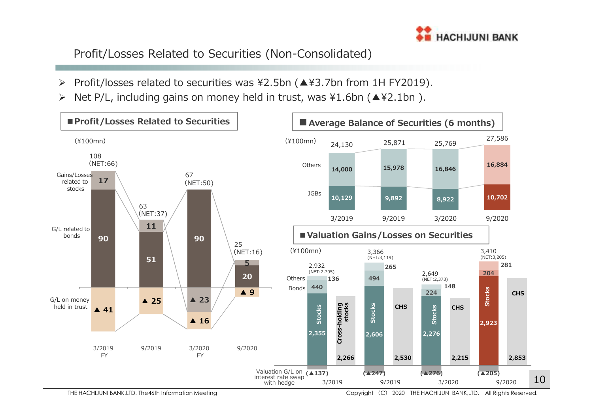

Profit/Losses Related to Securities (Non-Consolidated)

- $\blacktriangleright$ Profit/losses related to securities was ¥2.5bn (▲¥3.7bn from 1H FY2019).
- $\blacktriangleright$ Net P/L, including gains on money held in trust, was ¥1.6bn (▲¥2.1bn ).

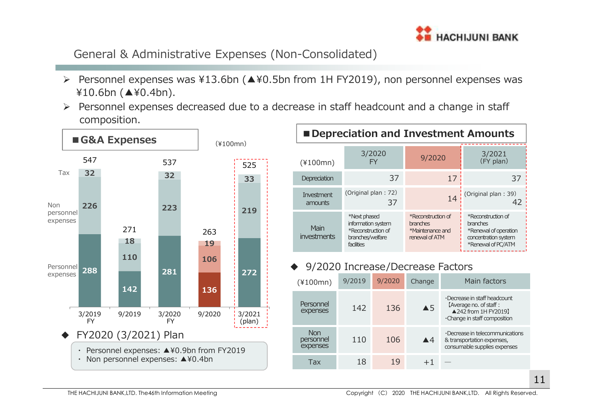

General & Administrative Expenses (Non-Consolidated)

- ¥10.6bn (▲¥0.4bn).
- $\blacktriangleright$  Personnel expenses decreased due to a decrease in staff headcount and a change in staff composition.



| Depreciation and Investment Amounts |                                                                                            |                                                                      |                                                                                                              |  |  |  |  |  |  |  |
|-------------------------------------|--------------------------------------------------------------------------------------------|----------------------------------------------------------------------|--------------------------------------------------------------------------------------------------------------|--|--|--|--|--|--|--|
| $(*100mn)$                          | 3/2020<br>FY                                                                               | 9/2020                                                               | 3/2021<br>(FY plan)                                                                                          |  |  |  |  |  |  |  |
| Depreciation                        | 37                                                                                         | 17                                                                   | 37                                                                                                           |  |  |  |  |  |  |  |
| Investment<br>amounts               | (Original plan: 72)<br>37                                                                  | 14                                                                   | (Original plan: 39)<br>42                                                                                    |  |  |  |  |  |  |  |
| Main<br>investments                 | *Next phased<br>information system<br>*Reconstruction of<br>branches/welfare<br>facilities | *Reconstruction of<br>branches<br>*Maintenance and<br>renewal of ATM | *Reconstruction of<br><b>branches</b><br>*Renewal of operation<br>concentration system<br>*Renewal of PC/ATM |  |  |  |  |  |  |  |

#### 9/2020 Increase/Decrease Factors

| $(*100mn)$                          | 9/2019 | 9/2020 | Change             | Main factors                                                                                                           |
|-------------------------------------|--------|--------|--------------------|------------------------------------------------------------------------------------------------------------------------|
| Personnel<br>expenses               | 142    | 136    | $\triangle$ 5      | $\cdot$ Decrease in staff headcount<br>[Average no. of staff :<br>▲242 from 1H FY2019】<br>•Change in staff composition |
| <b>Non</b><br>personnel<br>expenses | 110    | 106    | $\blacktriangle$ 4 | $\cdot$ Decrease in telecommunications<br>& transportation expenses,<br>consumable supplies expenses                   |
| Tax                                 | 18     | 1 Q    |                    |                                                                                                                        |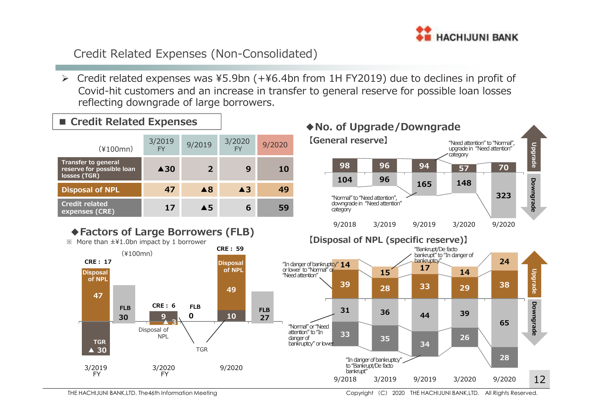

## Credit Related Expenses (Non-Consolidated)

 $\triangleright$  Credit related expenses was ¥5.9bn (+¥6.4bn from 1H FY2019) due to declines in profit of Covid-hit customers and an increase in transfer to general reserve for possible loan losses reflecting downgrade of large borrowers.

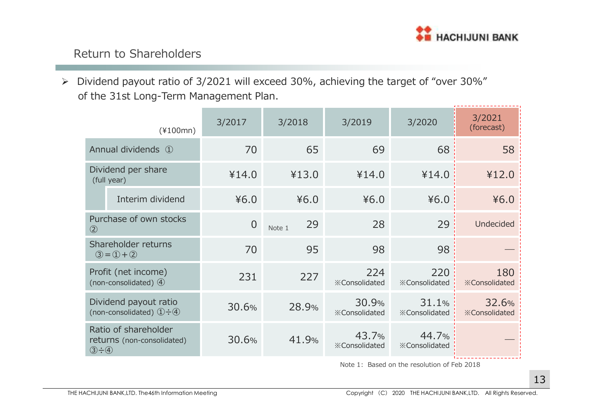

## Return to Shareholders

of the 31st Long-Term Management Plan.

| $\blacktriangleright$ | Dividend payout ratio of 3/2021 will exceed 30%, achieving the target of "over 30%"<br>of the 31st Long-Term Management Plan. |                                                            |          |              |                               |                               |                               |
|-----------------------|-------------------------------------------------------------------------------------------------------------------------------|------------------------------------------------------------|----------|--------------|-------------------------------|-------------------------------|-------------------------------|
|                       |                                                                                                                               |                                                            |          |              |                               |                               |                               |
|                       |                                                                                                                               | $(*100mn)$                                                 | 3/2017   | 3/2018       | 3/2019                        | 3/2020                        | 3/2021<br>(forecast)          |
|                       |                                                                                                                               | Annual dividends ①                                         | 70       | 65           | 69                            | 68                            | 58                            |
|                       |                                                                                                                               | Dividend per share<br>(full year)                          | ¥14.0    | ¥13.0        | ¥14.0                         | ¥14.0                         | ¥12.0                         |
|                       |                                                                                                                               | Interim dividend                                           | 46.0     | 46.0         | 46.0                          | 46.0                          | 46.0                          |
|                       | $\circled{2}$                                                                                                                 | Purchase of own stocks                                     | $\theta$ | 29<br>Note 1 | 28                            | 29                            | <b>Undecided</b>              |
|                       |                                                                                                                               | Shareholder returns<br>$(3) = (1) + (2)$                   | 70       | 95           | 98                            | 98                            |                               |
|                       |                                                                                                                               | Profit (net income)<br>(non-consolidated) $\Phi$           | 231      | 227          | 224<br><b>※Consolidated</b>   | 220<br><b>※Consolidated</b>   | 180<br><b>※Consolidated</b>   |
|                       |                                                                                                                               | Dividend payout ratio<br>(non-consolidated) $(1) \div (4)$ | 30.6%    | 28.9%        | 30.9%<br><b>※Consolidated</b> | 31.1%<br><b>※Consolidated</b> | 32.6%<br><b>※Consolidated</b> |
|                       | $(3 - 4)$                                                                                                                     | Ratio of shareholder<br>returns (non-consolidated)         | 30.6%    | 41.9%        | 43.7%<br><b>※Consolidated</b> | 44.7%<br><b>※Consolidated</b> |                               |

Note 1: Based on the resolution of Feb 2018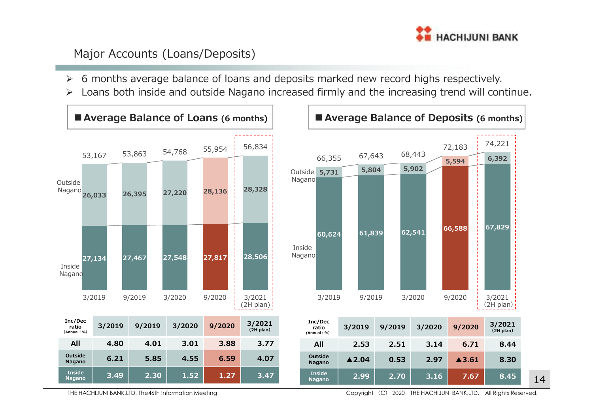

## Major Accounts (Loans/Deposits)

- $\blacktriangleright$ 6 months average balance of loans and deposits marked new record highs respectively.
- $\blacktriangleright$ Loans both inside and outside Nagano increased firmly and the increasing trend will continue.





THE HACHIJUNI BANK,LTD. The46th Information Meeting

Copyright (C) <sup>2020</sup> THE HACHIJUNI BANK,LTD. All Rights Reserved.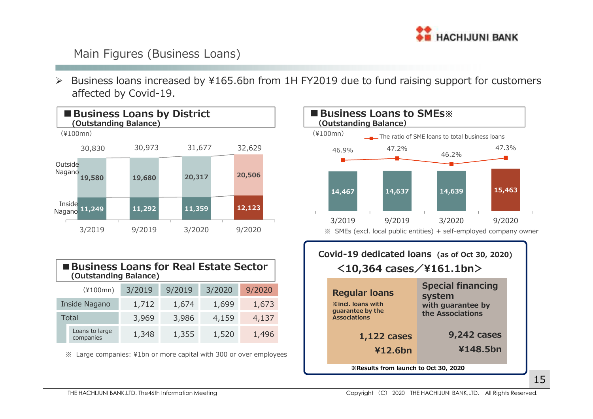

## Main Figures (Business Loans)

► Business loans increased by ¥165.6bn from 1H FY2019 due to fund raising support for customers<br>► Feated by Gavid 19 affected by Covid-19.



**※Results from launch to Oct 30, 2020**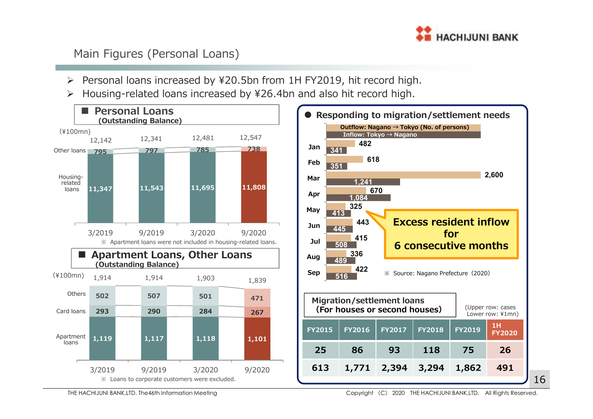

## Main Figures (Personal Loans)

- > Personal loans increased by ¥20.5bn from 1H FY2019, hit record high.
- $\blacktriangleright$ Housing-related loans increased by ¥26.4bn and also hit record high.



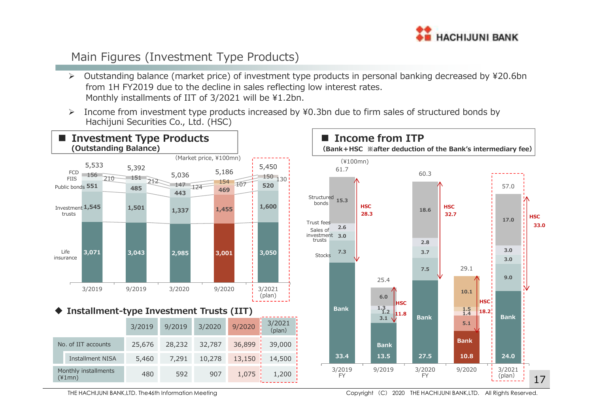

## Main Figures (Investment Type Products)

- $\triangleright$  Outstanding balance (market price) of investment type products in personal banking decreased by ¥20.6bn from 1H FY2019 due to the decline in sales reflecting low interest rates. Monthly installments of IIT of 3/2021 will be ¥1.2bn.
- $\blacktriangleright$  Income from investment type products increased by ¥0.3bn due to firm sales of structured bonds by Hachijuni Securities Co., Ltd. (HSC)



THE HACHIJUNI BANK,LTD. The46th Information Meeting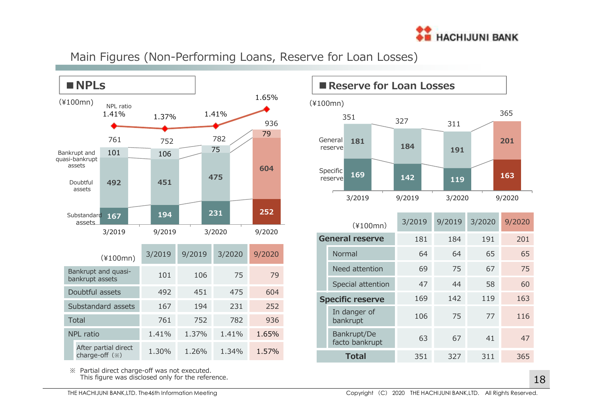

Main Figures (Non-Performing Loans, Reserve for Loan Losses)



※ Partial direct charge-off was not executed. This figure was disclosed only for the reference.



|                         | $(*100mn)$                    | 3/2019 | 9/2019 | 3/2020 | 9/2020 |
|-------------------------|-------------------------------|--------|--------|--------|--------|
| <b>General reserve</b>  |                               | 181    | 184    | 191    | 201    |
|                         | Normal                        | 64     | 64     | 65     | 65     |
|                         | Need attention                | 69     | 75     | 67     | 75     |
|                         | Special attention             | 47     | 44     | 58     | 60     |
| <b>Specific reserve</b> |                               | 169    | 142    | 119    | 163    |
|                         | In danger of<br>bankrupt      | 106    | 75     | 77     | 116    |
|                         | Bankrupt/De<br>facto bankrupt | 63     | 67     | 41     | 47     |
| <b>Total</b>            |                               | 351    | 327    | 311    | 365    |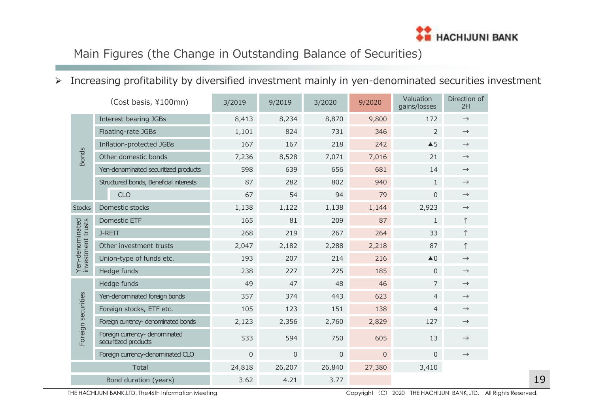

## Main Figures (the Change in Outstanding Balance of Securities)

## $\triangleright$  Increasing profitability by diversified investment mainly in yen-denominated securities investment

|                                      | (Cost basis, ¥100mn)                                  | 3/2019      | 9/2019      | 3/2020   | 9/2020      | Valuation<br>gains/losses | Direction of<br>2H |
|--------------------------------------|-------------------------------------------------------|-------------|-------------|----------|-------------|---------------------------|--------------------|
|                                      | Interest bearing JGBs                                 | 8,413       | 8,234       | 8,870    | 9,800       | 172                       | $\rightarrow$      |
|                                      | Floating-rate JGBs                                    | 1,101       | 824         | 731      | 346         | $\overline{2}$            | $\rightarrow$      |
|                                      | Inflation-protected JGBs                              | 167         | 167         | 218      | 242         | $\triangle$ 5             | $\rightarrow$      |
| <b>Bonds</b>                         | Other domestic bonds                                  | 7,236       | 8,528       | 7,071    | 7,016       | 21                        | $\rightarrow$      |
|                                      | Yen-denominated securitized products                  | 598         | 639         | 656      | 681         | 14                        | $\rightarrow$      |
|                                      | Structured bonds, Beneficial interests                | 87          | 282         | 802      | 940         | $\mathbf{1}$              | $\rightarrow$      |
|                                      | <b>CLO</b>                                            | 67          | 54          | 94       | 79          | $\overline{0}$            | $\rightarrow$      |
| <b>Stocks</b>                        | Domestic stocks                                       | 1,138       | 1,122       | 1,138    | 1,144       | 2,923                     | $\rightarrow$      |
|                                      | Domestic ETF                                          | 165         | 81          | 209      | 87          | $\mathbf{1}$              | $\uparrow$         |
|                                      | J-REIT                                                | 268         | 219         | 267      | 264         | 33                        | $\uparrow$         |
| Yen-denominated<br>investment trusts | Other investment trusts                               | 2,047       | 2,182       | 2,288    | 2,218       | 87                        | $\uparrow$         |
|                                      | Union-type of funds etc.                              | 193         | 207         | 214      | 216         | $\triangle$ <sup>0</sup>  | $\rightarrow$      |
|                                      | Hedge funds                                           | 238         | 227         | 225      | 185         | $\mathbf 0$               | $\rightarrow$      |
|                                      | Hedge funds                                           | 49          | 47          | 48       | 46          | $\overline{7}$            | $\rightarrow$      |
|                                      | Yen-denominated foreign bonds                         | 357         | 374         | 443      | 623         | $\overline{4}$            | $\rightarrow$      |
|                                      | Foreign stocks, ETF etc.                              | 105         | 123         | 151      | 138         | $\overline{4}$            | $\rightarrow$      |
|                                      | Foreign currency- denominated bonds                   | 2,123       | 2,356       | 2,760    | 2,829       | 127                       | $\rightarrow$      |
| Foreign securities                   | Foreign currency- denominated<br>securitized products | 533         | 594         | 750      | 605         | 13                        | $\rightarrow$      |
|                                      | Foreign currency-denominated CLO                      | $\mathbf 0$ | $\mathbf 0$ | $\Omega$ | $\mathbf 0$ | $\Omega$                  | $\rightarrow$      |
|                                      | Total                                                 | 24,818      | 26,207      | 26,840   | 27,380      | 3,410                     |                    |
|                                      | Bond duration (years)                                 | 3.62        | 4.21        | 3.77     |             |                           |                    |

THE HACHIJUNI BANK,LTD. The46th Information Meeting

Copyright (C) <sup>2020</sup> THE HACHIJUNI BANK,LTD. All Rights Reserved.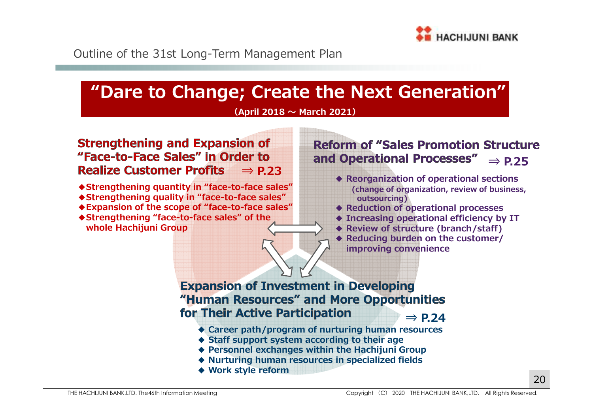

Outline of the 31st Long-Term Management Plan

## **"Dare to Change; Create the Next Generation"**

#### **(April 2018 〜 March 2021)**

#### **Strengthening and Expansion of** "Face-to-Face Sales" in Order to **Realize Customer Profits ⇒ P.23**

- **◆Strengthening quantity in "face-to-face sales"**
- **◆Strengthening quality in "face-to-face sales"**
- **◆Expansion of the scope of "face-to-face sales"**
- **◆Strengthening "face-to-face sales" of the whole Hachijuni Group**

#### **Reform of "Sales Promotion Structure** and Operational Processes" **⇒ P.25**

- **◆ Reorganization of operational sections (change of organization, review of business,outsourcing)**
- ◆ **Reduction of operational processes**<br>◆ **Increasing operational efficiency** by
- **◆ Increasing operational efficiency by IT**
- **◆ Review of structure (branch/staff)**
- **◆ Reducing burden on the customer/ improving convenience**

#### **Expansion of Investment in Developing** "Human Resources" and More Opportunities for Their Active Participation **⇒ P.24**

- ◆ **Career path/program of nurturing human resources**<br>▲ Staff support system according to their age
- **◆ Staff support system according to their age**
- **◆ Personnel exchanges within the Hachijuni Group**
- **◆ Nurturing human resources in specialized fields**
- **◆ Work style reform**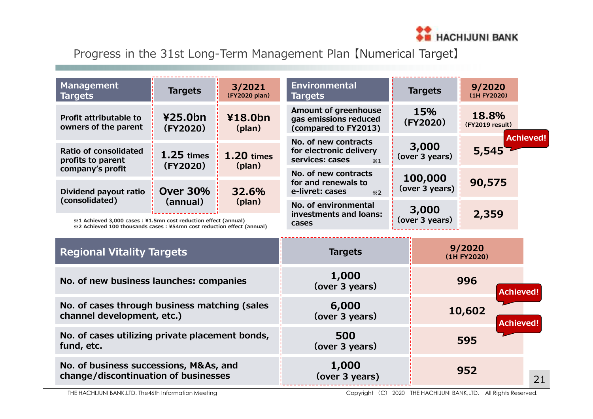

Progress in the 31st Long-Term Management Plan 【Numerical Target】

| <b>Management</b><br><b>Targets</b>                                                                           | <b>Targets</b>           | 3/2021<br>(FY2020 plan)                                               | <b>Environmental</b><br><b>Targets</b>                                            | <b>Targets</b>            | 9/2020<br>(1H FY2020) |                  |
|---------------------------------------------------------------------------------------------------------------|--------------------------|-----------------------------------------------------------------------|-----------------------------------------------------------------------------------|---------------------------|-----------------------|------------------|
| 425.0 <sub>bn</sub><br>¥18.0bn<br><b>Profit attributable to</b><br>owners of the parent<br>(FY2020)<br>(plan) |                          | Amount of greenhouse<br>gas emissions reduced<br>(compared to FY2013) | 15%<br>(FY2020)                                                                   | 18.8%<br>(FY2019 result)  |                       |                  |
| Ratio of consolidated<br>profits to parent                                                                    | $1.25$ times<br>(FY2020) | <b>1.20 times</b>                                                     | No. of new contracts<br>for electronic delivery<br>services: cases<br>$\times 1$  | 3,000<br>(over 3 years)   | 5,545                 | <b>Achieved!</b> |
| company's profit<br>Dividend payout ratio                                                                     | <b>Over 30%</b>          | (plan)<br>32.6%                                                       | No. of new contracts<br>for and renewals to<br>e-livret: cases<br>$\frac{1}{2}$ 2 | 100,000<br>(over 3 years) | 90,575                |                  |
| (consolidated)<br>(annual)<br>(plan)<br>%1 Achieved 3,000 cases: ¥1.5mn cost reduction effect (annual)        |                          |                                                                       | No. of environmental<br>investments and loans:<br>cases                           | 3,000<br>(over 3 years)   | 2,359                 |                  |
| %2 Achieved 100 thousands cases: ¥54mn cost reduction effect (annual)                                         |                          |                                                                       |                                                                                   |                           |                       |                  |
| <b>Regional Vitality Targets</b>                                                                              |                          |                                                                       | <b>Targets</b>                                                                    |                           | 9/2020<br>(1H FY2020) |                  |
| No. of new business launches: companies                                                                       |                          |                                                                       | 1,000<br>(over 3 years)                                                           |                           | 996                   | <b>Achieved!</b> |
| No. of cases through business matching (sales<br>channel development, etc.)                                   |                          |                                                                       | 6,000<br>(over 3 years)                                                           |                           | 10,602                | <b>Achieved!</b> |
| No. of cases utilizing private placement bonds,<br>fund, etc.                                                 |                          |                                                                       | 500<br>(over 3 years)                                                             |                           | 595                   |                  |

**1,000(over 3 years)**

**No. of business successions, M&As, and change/discontinuation of businesses**

**<sup>952</sup>**

21

THE HACHIJUNI BANK,LTD. The46th Information Meeting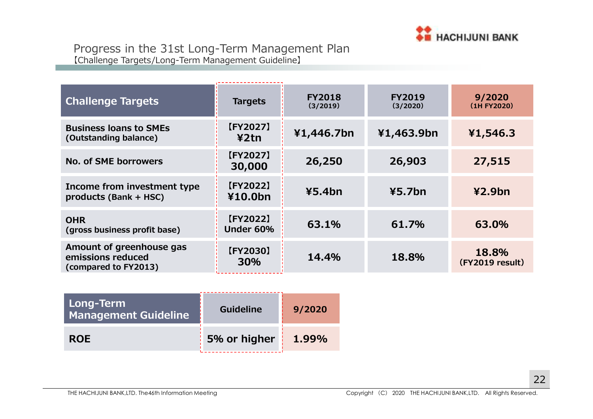

| <b>Challenge Targets</b>                                              | <b>Targets</b>        | <b>FY2018</b><br>(3/2019) | <b>FY2019</b><br>(3/2020) | 9/2020<br>(1H FY2020)    |
|-----------------------------------------------------------------------|-----------------------|---------------------------|---------------------------|--------------------------|
| <b>Business loans to SMEs</b><br>(Outstanding balance)                | [FY2027]<br>42tn      | ¥1,446.7bn                | ¥1,463.9bn                | ¥1,546.3                 |
| No. of SME borrowers                                                  | [FY2027]<br>30,000    | 26,250                    | 26,903                    | 27,515                   |
| Income from investment type<br>products (Bank + HSC)                  | [FY2022]<br>¥10.0bn   | 45.4 <sub>bn</sub>        | 45.7 <sub>bn</sub>        | 42.9 <sub>bn</sub>       |
| <b>OHR</b><br>(gross business profit base)                            | [FY2022]<br>Under 60% | 63.1%                     | 61.7%                     | 63.0%                    |
| Amount of greenhouse gas<br>emissions reduced<br>(compared to FY2013) | [FY2030]<br>30%       | 14.4%                     | 18.8%                     | 18.8%<br>(FY2019 result) |

| Long-Term<br><b>Management Guideline</b> | <b>Guideline</b> | 9/2020 |
|------------------------------------------|------------------|--------|
| <b>ROE</b>                               | 5% or higher     | 1.99%  |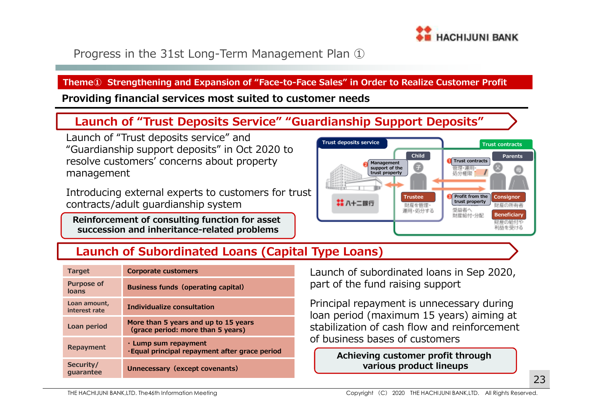

## Progress in the 31st Long-Term Management Plan ①

#### **Theme① Strengthening and Expansion of "Face-to-Face Sales" in Order to Realize Customer Profit**

**Providing financial services most suited to customer needs**

## **Launch of "Trust Deposits Service" "Guardianship Support Deposits"**

Launch of "Trust deposits service" and "Guardianship support deposits" in Oct 2020 to resolve customers' concerns about property management

Introducing external experts to customers for trustcontracts/adult guardianship system

 **Reinforcement of consulting function for asset succession and inheritance-related problems**



## **Launch of Subordinated Loans (Capital Type Loans)**

| <b>Target</b>                 | Corporate customers                                                        |
|-------------------------------|----------------------------------------------------------------------------|
| <b>Purpose of</b><br>loans    | <b>Business funds (operating capital)</b>                                  |
| Loan amount,<br>interest rate | Individualize consultation                                                 |
| Loan period                   | More than 5 years and up to 15 years<br>(grace period: more than 5 years)  |
| <b>Repayment</b>              | $\cdot$ Lump sum repayment<br>Equal principal repayment after grace period |
| Security/<br>quarantee        | Unnecessary (except covenants)                                             |

Launch of subordinated loans in Sep 2020, part of the fund raising support

Principal repayment is unnecessary during loan period (maximum 15 years) aiming at stabilization of cash flow and reinforcement of business bases of customers

> **Achieving customer profit through various product lineups**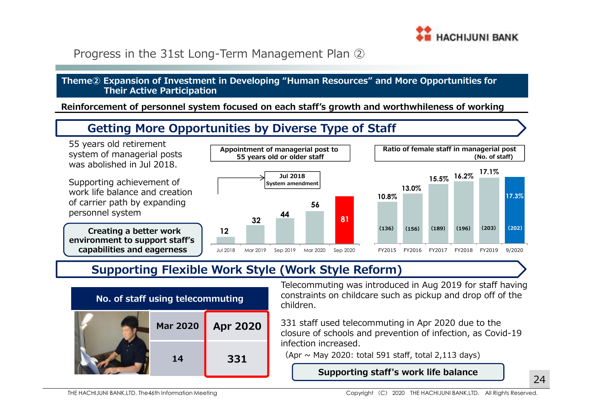

## Progress in the 31st Long-Term Management Plan ②

#### **Theme② Expansion of Investment in Developing "Human Resources" and More Opportunities for Their Active Participation**

**Reinforcement of personnel system focused on each staff's growth and worthwhileness of working**

## **Getting More Opportunities by Diverse Type of Staff**

55 years old retirement system of managerial posts was abolished in Jul 2018.

Supporting achievement of work life balance and creation of carrier path by expanding personnel system

**Creating a better work environment to support staff's capabilities and eagerness**







## **Supporting Flexible Work Style (Work Style Reform)**



Telecommuting was introduced in Aug 2019 for staff having constraints on childcare such as pickup and drop off of the children.

331 staff used telecommuting in Apr 2020 due to the closure of schools and prevention of infection, as Covid-19 infection increased.

(Apr  $\sim$  May 2020: total 591 staff, total 2,113 days)

**Supporting staff's work life balance**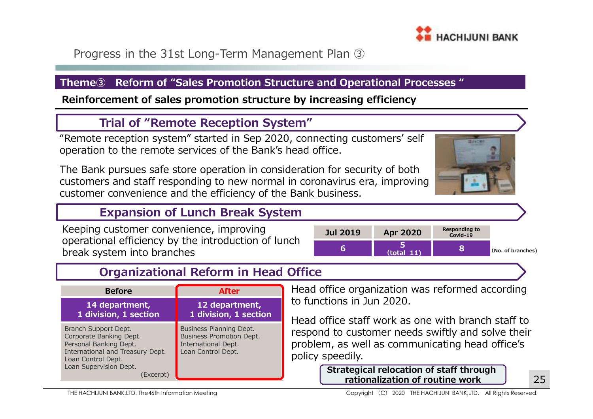

Progress in the 31st Long-Term Management Plan ③

#### **Theme③ Reform of "Sales Promotion Structure and Operational Processes "**

**Reinforcement of sales promotion structure by increasing efficiency**

### **Trial of "Remote Reception System"**

"Remote reception system" started in Sep 2020, connecting customers' self operation to the remote services of the Bank's head office.

The Bank pursues safe store operation in consideration for security of both customers and staff responding to new normal in coronavirus era, improving customer convenience and the efficiency of the Bank business.



## **Expansion of Lunch Break System**

Keeping customer convenience, improving operational efficiency by the introduction of lunchbreak system into branches



## **Organizational Reform in Head Office**

| <b>Before</b>                                                                                                                                                              | <b>After</b>                                                                                            |
|----------------------------------------------------------------------------------------------------------------------------------------------------------------------------|---------------------------------------------------------------------------------------------------------|
| 14 department,<br>1 division, 1 section                                                                                                                                    | 12 department,<br>1 division, 1 section                                                                 |
| Branch Support Dept.<br>Corporate Banking Dept.<br>Personal Banking Dept.<br>International and Treasury Dept.<br>Loan Control Dept.<br>Loan Supervision Dept.<br>(Excerpt) | Business Planning Dept.<br><b>Business Promotion Dept.</b><br>International Dept.<br>Loan Control Dept. |

Head office organization was reformed according to functions in Jun 2020.

Head office staff work as one with branch staff to respond to customer needs swiftly and solve their problem, as well as communicating head office's policy speedily.

> **Strategical relocation of staff through rationalization of routine work**